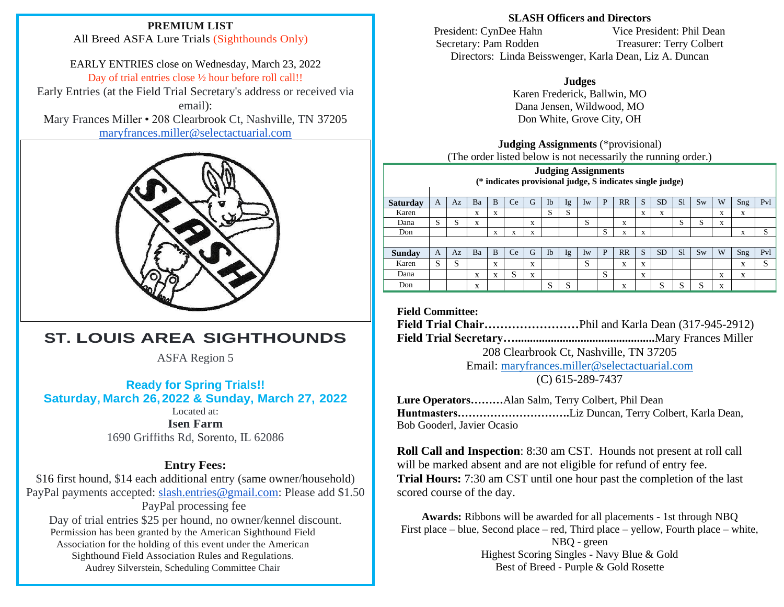### **PREMIUM LIST**

All Breed ASFA Lure Trials (Sighthounds Only)

EARLY ENTRIES close on Wednesday, March 23, 2022 Day of trial entries close  $\frac{1}{2}$  hour before roll call!!

Early Entries (at the Field Trial Secretary's address or received via email):

Mary Frances Miller • 208 Clearbrook Ct, Nashville, TN 37205 [maryfrances.miller@selectactuarial.com](mailto:maryfrances.miller@selectactuarial.com)



# **ST. LOUIS AREA SIGHTHOUNDS**

ASFA Region 5

**Ready for Spring Trials!! Saturday, March 26,2022 & Sunday, March 27, 2022**

Located at: **Isen Farm** 1690 Griffiths Rd, Sorento, IL 62086

# **Entry Fees:**

\$16 first hound, \$14 each additional entry (same owner/household) PayPal payments accepted: [slash.entries@gmail.com:](mailto:slash.entries@gmail.com) Please add \$1.50 PayPal processing fee Day of trial entries \$25 per hound, no owner/kennel discount. Permission has been granted by the American Sighthound Field Association for the holding of this event under the American Sighthound Field Association Rules and Regulations. Audrey Silverstein, Scheduling Committee Chair

### **SLASH Officers and Directors**

President: CynDee Hahn Vice President: Phil Dean Secretary: Pam Rodden Treasurer: Terry Colbert Directors: Linda Beisswenger, Karla Dean, Liz A. Duncan

> **Judges** Karen Frederick, Ballwin, MO Dana Jensen, Wildwood, MO Don White, Grove City, OH

### **Judging Assignments** (\*provisional) (The order listed below is not necessarily the running order.)

**Judging Assignments (\* indicates provisional judge, S indicates single judge)**

| Saturday | A | Az      | Ba                | B                 | Ce                | G | Ib                | lg      | Iw                | P | RR | S                 | <b>SD</b>                 | S1                | Sw        | W | Sng | Pvl               |
|----------|---|---------|-------------------|-------------------|-------------------|---|-------------------|---------|-------------------|---|----|-------------------|---------------------------|-------------------|-----------|---|-----|-------------------|
| Karen    |   |         | X                 | X                 |                   |   | $\mathbf{C}$<br>C | G<br>C. |                   |   |    | X                 | $\mathbf{v}$<br>$\Lambda$ |                   |           | X | X   |                   |
| Dana     | S | G<br>C. | X                 |                   |                   | X |                   |         | S                 |   | X  |                   |                           | S                 | S         | X |     |                   |
| Don      |   |         |                   | $\mathbf{v}$<br>л | $\mathbf{v}$<br>A | x |                   |         |                   | S | x  | $\mathbf{v}$<br>л |                           |                   |           |   | X   | S                 |
|          |   |         |                   |                   |                   |   |                   |         |                   |   |    |                   |                           |                   |           |   |     |                   |
| Sunday   | A | Az      | Ba                | B                 | Ce                | G | Ib                | Ig      | $I_{W}$           | P | RR | S                 | <b>SD</b>                 | <sub>S1</sub>     | <b>Sw</b> | W | Sng | Pvl               |
| Karen    | S | C<br>د، |                   | X                 |                   | X |                   |         | $\mathbf{C}$<br>C |   | X  | X                 |                           |                   |           |   | X   | $\mathbf{C}$<br>C |
| Dana     |   |         | X                 | X                 | $\mathbf{C}$<br>C | X |                   |         |                   | S |    | X                 |                           |                   |           | X | X   |                   |
| Don      |   |         | $\mathbf{v}$<br>л |                   |                   |   | C<br>N.           | C<br>د، |                   |   | X  |                   | C                         | $\mathbf{C}$<br>N | c<br>د،   | X |     |                   |
|          |   |         |                   |                   |                   |   |                   |         |                   |   |    |                   |                           |                   |           |   |     |                   |

**Field Committee:**

**Field Trial Chair……………………**Phil and Karla Dean (317-945-2912)

**Field Trial Secretary…...............................................**Mary Frances Miller

208 Clearbrook Ct, Nashville, TN 37205

Email: [maryfrances.miller@selectactuarial.com](mailto:maryfrances.miller@selectactuarial.com) (C) 615-289-7437

**Lure Operators………**Alan Salm, Terry Colbert, Phil Dean **Huntmasters………………………….**Liz Duncan, Terry Colbert, Karla Dean, Bob Gooderl, Javier Ocasio

**Roll Call and Inspection**: 8:30 am CST. Hounds not present at roll call will be marked absent and are not eligible for refund of entry fee. **Trial Hours:** 7:30 am CST until one hour past the completion of the last scored course of the day.

**Awards:** Ribbons will be awarded for all placements - 1st through NBQ First place – blue, Second place – red, Third place – yellow, Fourth place – white, NBQ - green Highest Scoring Singles - Navy Blue & Gold Best of Breed - Purple & Gold Rosette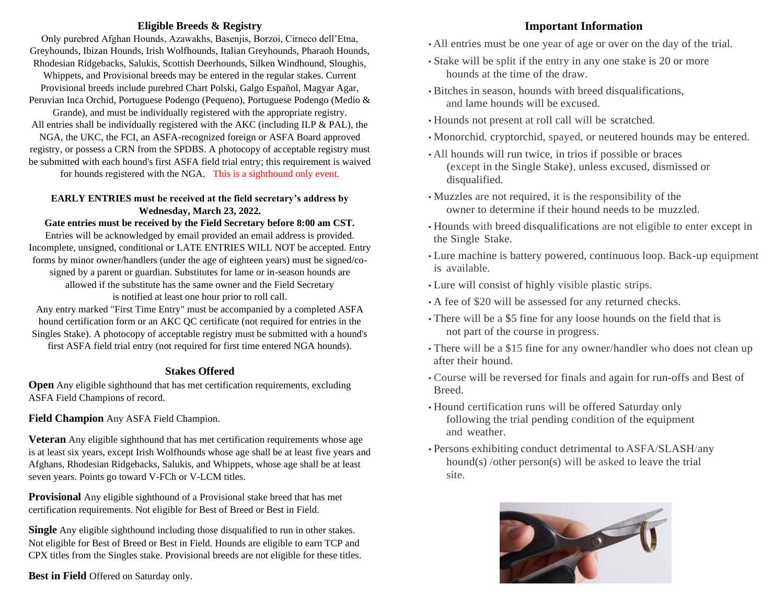### **Eligible Breeds & Registry**

Only purebred Afghan Hounds, Azawakhs, Basenjis, Borzoi, Cirneco dell'Etna, Greyhounds, Ibizan Hounds, Irish Wolfhounds, Italian Greyhounds, Pharaoh Hounds, Rhodesian Ridgebacks, Salukis, Scottish Deerhounds, Silken Windhound, Sloughis,

Whippets, and Provisional breeds may be entered in the regular stakes. Current Provisional breeds include purebred Chart Polski, Galgo Español, Magyar Agar, Peruvian Inca Orchid, Portuguese Podengo (Pequeno), Portuguese Podengo (Medio &

Grande), and must be individually registered with the appropriate registry.

All entries shall be individually registered with the AKC (including ILP & PAL), the NGA, the UKC, the FCI, an ASFA-recognized foreign or ASFA Board approved

registry, or possess a CRN from the SPDBS. A photocopy of acceptable registry must be submitted with each hound's first ASFA field trial entry; this requirement is waived

for hounds registered with the NGA. This is a sighthound only event.

### **EARLY ENTRIES must be received at the field secretary's address by Wednesday, March 23, 2022.**

## **Gate entries must be received by the Field Secretary before 8:00 am CST.**

Entries will be acknowledged by email provided an email address is provided. Incomplete, unsigned, conditional or LATE ENTRIES WILL NOT be accepted. Entry forms by minor owner/handlers (under the age of eighteen years) must be signed/cosigned by a parent or guardian. Substitutes for lame or in-season hounds are allowed if the substitute has the same owner and the Field Secretary is notified at least one hour prior to roll call.

Any entry marked "First Time Entry" must be accompanied by a completed ASFA hound certification form or an AKC QC certificate (not required for entries in the Singles Stake). A photocopy of acceptable registry must be submitted with a hound's first ASFA field trial entry (not required for first time entered NGA hounds).

### **Stakes Offered**

**Open** Any eligible sighthound that has met certification requirements, excluding ASFA Field Champions of record.

**Field Champion** Any ASFA Field Champion.

**Veteran** Any eligible sighthound that has met certification requirements whose age is at least six years, except Irish Wolfhounds whose age shall be at least five years and Afghans, Rhodesian Ridgebacks, Salukis, and Whippets, whose age shall be at least seven years. Points go toward V-FCh or V-LCM titles.

**Provisional** Any eligible sighthound of a Provisional stake breed that has met certification requirements. Not eligible for Best of Breed or Best in Field.

**Single** Any eligible sighthound including those disqualified to run in other stakes. Not eligible for Best of Breed or Best in Field. Hounds are eligible to earn TCP and CPX titles from the Singles stake. Provisional breeds are not eligible for these titles.

**Best in Field** Offered on Saturday only.

# **Important Information**

- All entries must be one year of age or over on the day of the trial.
- Stake will be split if the entry in any one stake is 20 or more hounds at the time of the draw.
- Bitches in season, hounds with breed disqualifications, and lame hounds will be excused.
- Hounds not present at roll call will be scratched.
- Monorchid, cryptorchid, spayed, or neutered hounds may be entered.
- All hounds will run twice, in trios if possible or braces (except in the Single Stake), unless excused, dismissed or disqualified.
- Muzzles are not required, it is the responsibility of the owner to determine if their hound needs to be muzzled.
- Hounds with breed disqualifications are not eligible to enter except in the Single Stake.
- Lure machine is battery powered, continuous loop. Back-up equipment is available.
- Lure will consist of highly visible plastic strips.
- A fee of \$20 will be assessed for any returned checks.
- There will be a \$5 fine for any loose hounds on the field that is not part of the course in progress.
- There will be a \$15 fine for any owner/handler who does not clean up after their hound.
- Course will be reversed for finals and again for run-offs and Best of Breed.
- Hound certification runs will be offered Saturday only following the trial pending condition of the equipment and weather.
- Persons exhibiting conduct detrimental to ASFA/SLASH/any hound(s) /other person(s) will be asked to leave the trial site.

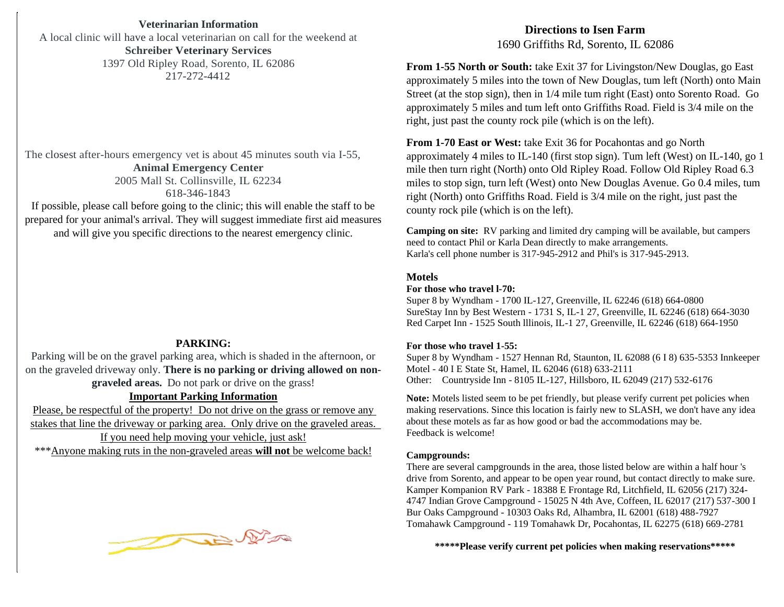**Saturday - 900 yards Veterinarian Information** A local clinic will have a local veterinarian on call for the weekend at **Schreiber Veterinary Services**  1397 Old Ripley Road, Sorento, IL 62086 217-272-4412

The closest after-hours emergency vet is about 45 minutes south via I-55, **Animal Emergency Center** 2005 Mall St. Collinsville, IL 62234 618-346-1843

If possible, please call before going to the clinic; this will enable the staff to be prepared for your animal's arrival. They will suggest immediate first aid measures and will give you specific directions to the nearest emergency clinic.

### **PARKING:**

**SANATIVE:**<br>Parking will be on the gravel parking area, which is shaded in the afternoon, or on the graveled driveway only. **There is no parking or driving allowed on nongraveled areas.** Do not park or drive on the grass!

### **Important Parking Information**

Please, be respectful of the property! Do not drive on the grass or remove any stakes that line the driveway or parking area. Only drive on the graveled areas. If you need help moving your vehicle, just ask! \*\*\*Anyone making ruts in the non-graveled areas **will not** be welcome back!



# **Directions to Isen Farm** 1690 Griffiths Rd, Sorento, IL 62086

approximately 5 miles into the town of New Douglas, tum left (North) onto Main Street (at the stop sign), then in 1/4 mile tum right (East) onto Sorento Road. Go approximately 5 miles and tum left onto Griffiths Road. Field is  $3/4$  mile on the right, just past the county rock pile (which is on the left). **From 1-55 North or South:** take Exit 37 for Livingston/New Douglas, go East

From 1-70 East or West: take Exit 36 for Pocahontas and go North approximately 4 miles to IL-140 (first stop sign). Tum left (West) on IL-140, go 1 mile then turn right (North) onto Old Ripley Road. Follow Old Ripley Road 6.3 miles to stop sign, turn left (West) onto New Douglas Avenue. Go 0.4 miles, tum right (North) onto Griffiths Road. Field is 3/4 mile on the right, just past the county rock pile (which is on the left).

Camping on site: RV parking and limited dry camping will be available, but campers run only after the contact Phil or Karla Dean directly to make arrangements.<br>  $K_{\text{tot}}$  is a state of the Saturday of the Saturday of the Saturday of the Saturday of the Saturday of the Saturday of the Saturday of the Satu Karla's cell phone number is  $317-945-2912$  and Phil's is  $317-945-2913$ .

#### $heta$  the same breed or similar run with  $r$ **Motels**

### For those who travel 1-70:

Super 8 by Wyndham - 1700 IL-127, Greenville, IL 62246 (618) 664-0800 Surestay inn by Best Western - 1731 S, IL-1 27, Greenville, IL 62246 (618) 664-30<br>Red Carpet Inn - 1525 South Illinois, IL-1 27, Greenville, IL 62246 (618) 664-1950 SureStay Inn by Best Western - 1731 S, IL-1 27, Greenville, IL 62246 (618) 664-3030

### **For those who travel 1-55:**

F**or those who travel 1-55:**<br>Super 8 by Wyndham - 1527 Hennan Rd, Staunton, IL 62088 (6 I 8) 635-5353 Innkeeper Super 8 by Wyndham - 1327 Hennan Kd, Stauhton, IL 62088 (618) 633-3333<br>Motel - 40 I E State St, Hamel, IL 62046 (618) 633-2111 Other: Countryside Inn - 8105 IL-127, Hillsboro, IL 62049 (217) 532-6176

**Note:** Motels listed seem to be pet friendly, but please verify current pet policies when making reservations. Since this location is fairly now to SI ASH, we don't have any idemaning reservations: since and to ceanon is rainly new to SER ish, we convenience after yourself and your hounds. making reservations. Since this location is fairly new to SLASH, we don't have any idea Feedback is welcome!

### **Campgrounds:**

**Campgrounds:**<br>There are several campgrounds in the area, those listed below are within a half hour 's drive from Sorento, and appear to be open year round, but contact directly to make sure. Kamper Kompanion KV Park - 18388 E Frontage Rd, Litemeid, IL 62036 (217) 524-<br>4747 Indian Grove Campground - 15025 N 4th Ave, Coffeen, IL 62017 (217) 537-300 I Bur Oaks Campground - 10303 Oaks Rd, Alhambra, IL 62001 (618) 488-7927 Tomahawk Campground - 119 Tomahawk Dr, Pocahontas, IL 62275 (618) 669-2781 Kamper Kompanion RV Park - 18388 E Frontage Rd, Litchfield, IL 62056 (217) 324-

\*\*\*\*\*Please verify current pet policies when making reservations\*\*\*\*\*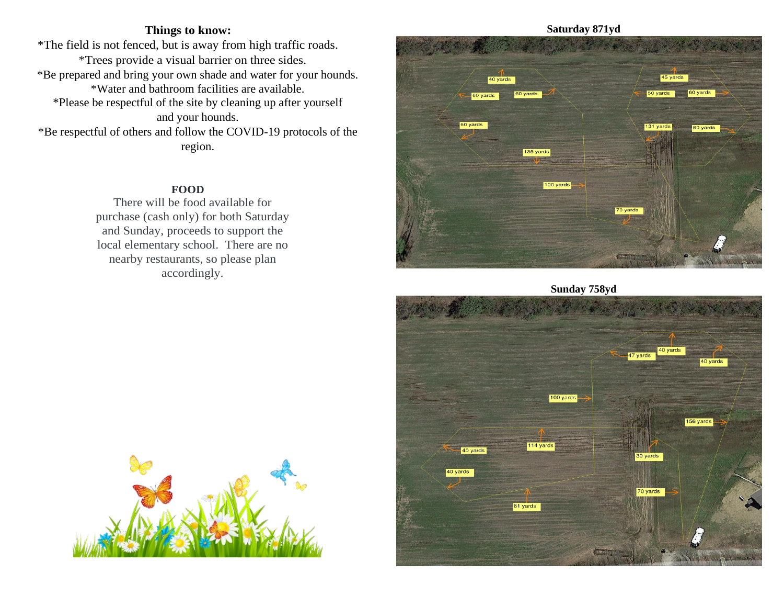# **Things to know:**

\*The field is not fenced, but is away from high traffic roads. \*Trees provide a visual barrier on three sides. \*Be prepared and bring your own shade and water for your hounds. \*Water and bathroom facilities are available. \*Please be respectful of the site by cleaning up after yourself and your hounds. \*Be respectful of others and follow the COVID-19 protocols of the region.

### **FOOD**

There will be food available for purchase (cash only) for both Saturday and Sunday, proceeds to support the local elementary school. There are no nearby restaurants, so please plan accordingly.



**Sunday 758yd**



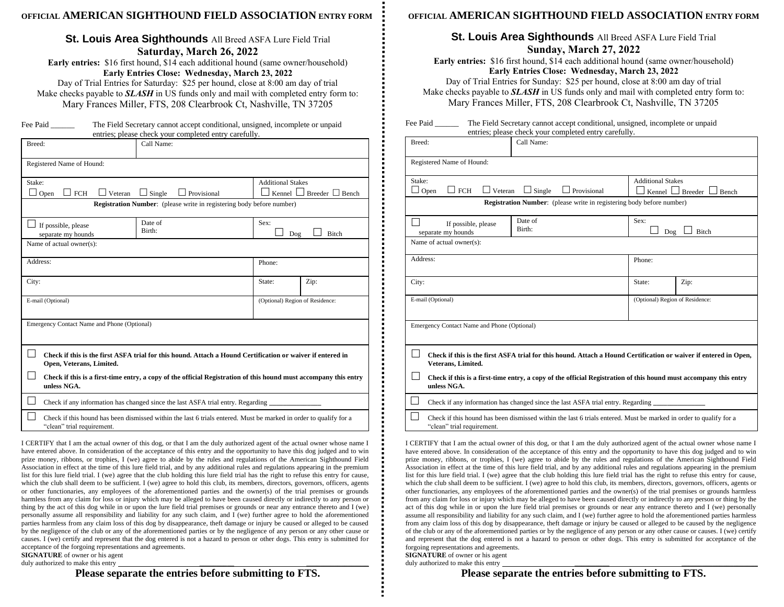### **OFFICIAL AMERICAN SIGHTHOUND FIELD ASSOCIATION ENTRY FORM**

## **St. Louis Area Sighthounds** All Breed ASFA Lure Field Trial **Saturday, March 26, 2022**

**Early entries:** \$16 first hound, \$14 each additional hound (same owner/household) **Early Entries Close: Wednesday, March 23, 2022** Day of Trial Entries for Saturday: \$25 per hound, close at 8:00 am day of trial

Make checks payable to *SLASH* in US funds only and mail with completed entry form to: Mary Frances Miller, FTS, 208 Clearbrook Ct, Nashville, TN 37205

| Fee Paid | The Field Secretary cannot accept conditional, unsigned, incomplete or unpaid |  |  |  |  |  |  |
|----------|-------------------------------------------------------------------------------|--|--|--|--|--|--|
|          | entries; please check your completed entry carefully.                         |  |  |  |  |  |  |

| Breed:                                                                                                                                                 | $n = 1$<br>Call Name:                                               |  |  |  |  |  |  |  |
|--------------------------------------------------------------------------------------------------------------------------------------------------------|---------------------------------------------------------------------|--|--|--|--|--|--|--|
| Registered Name of Hound:                                                                                                                              |                                                                     |  |  |  |  |  |  |  |
| Stake:<br><b>FCH</b><br>Veteran<br>Open                                                                                                                | <b>Additional Stakes</b><br>Kennel L<br>$\Box$ Breeder $\Box$ Bench |  |  |  |  |  |  |  |
| <b>Registration Number:</b> (please write in registering body before number)                                                                           |                                                                     |  |  |  |  |  |  |  |
| If possible, please<br>separate my hounds                                                                                                              | Sex:<br>Dog<br>Bitch                                                |  |  |  |  |  |  |  |
| Name of actual owner(s):                                                                                                                               |                                                                     |  |  |  |  |  |  |  |
| Address:                                                                                                                                               | Phone:                                                              |  |  |  |  |  |  |  |
| City:<br>State:<br>Zip:                                                                                                                                |                                                                     |  |  |  |  |  |  |  |
| E-mail (Optional)<br>(Optional) Region of Residence:                                                                                                   |                                                                     |  |  |  |  |  |  |  |
| Emergency Contact Name and Phone (Optional)                                                                                                            |                                                                     |  |  |  |  |  |  |  |
| $\mathsf{L}$<br>Check if this is the first ASFA trial for this hound. Attach a Hound Certification or waiver if entered in<br>Open, Veterans, Limited. |                                                                     |  |  |  |  |  |  |  |
| Check if this is a first-time entry, a copy of the official Registration of this hound must accompany this entry<br>unless NGA.                        |                                                                     |  |  |  |  |  |  |  |
| Check if any information has changed since the last ASFA trial entry. Regarding ________                                                               |                                                                     |  |  |  |  |  |  |  |
| Check if this hound has been dismissed within the last 6 trials entered. Must be marked in order to qualify for a<br>"clean" trial requirement.        |                                                                     |  |  |  |  |  |  |  |

I CERTIFY that I am the actual owner of this dog, or that I am the duly authorized agent of the actual owner whose name I have entered above. In consideration of the acceptance of this entry and the opportunity to have this dog judged and to win prize money, ribbons, or trophies, I (we) agree to abide by the rules and regulations of the American Sighthound Field Association in effect at the time of this lure field trial, and by any additional rules and regulations appearing in the premium list for this lure field trial. I (we) agree that the club holding this lure field trial has the right to refuse this entry for cause, which the club shall deem to be sufficient. I (we) agree to hold this club, its members, directors, governors, officers, agents or other functionaries, any employees of the aforementioned parties and the owner(s) of the trial premises or grounds harmless from any claim for loss or injury which may be alleged to have been caused directly or indirectly to any person or thing by the act of this dog while in or upon the lure field trial premises or grounds or near any entrance thereto and I (we) personally assume all responsibility and liability for any such claim, and I (we) further agree to hold the aforementioned parties harmless from any claim loss of this dog by disappearance, theft damage or injury be caused or alleged to be caused by the negligence of the club or any of the aforementioned parties or by the negligence of any person or any other cause or causes. I (we) certify and represent that the dog entered is not a hazard to person or other dogs. This entry is submitted for acceptance of the forgoing representations and agreements.

**SIGNATURE** of owner or his agent duly authorized to make this entry

**Please separate the entries before submitting to FTS.**

### **OFFICIAL AMERICAN SIGHTHOUND FIELD ASSOCIATION ENTRY FORM**

### **St. Louis Area Sighthounds** All Breed ASFA Lure Field Trial **Sunday, March 27, 2022**

**Early entries:** \$16 first hound, \$14 each additional hound (same owner/household) **Early Entries Close: Wednesday, March 23, 2022** Day of Trial Entries for Sunday: \$25 per hound, close at 8:00 am day of trial

Make checks payable to *SLASH* in US funds only and mail with completed entry form to: Mary Frances Miller, FTS, 208 Clearbrook Ct, Nashville, TN 37205

| Fee Paid | The Field Secretary cannot accept conditional, unsigned, incomplete or unpaid |
|----------|-------------------------------------------------------------------------------|
|          | entries; please check your completed entry carefully.                         |

| Breed:                                                                                                                                 |                                                                                                                                                 | Call Name:                      |                                       |  |  |  |  |  |
|----------------------------------------------------------------------------------------------------------------------------------------|-------------------------------------------------------------------------------------------------------------------------------------------------|---------------------------------|---------------------------------------|--|--|--|--|--|
| Registered Name of Hound:                                                                                                              |                                                                                                                                                 |                                 |                                       |  |  |  |  |  |
|                                                                                                                                        | <b>Additional Stakes</b><br>Stake:                                                                                                              |                                 |                                       |  |  |  |  |  |
|                                                                                                                                        | <b>FCH</b><br>$\Box$ Veteran<br>Open                                                                                                            | Single<br>Provisional           | Kennel $\Box$ Breeder $\Box$<br>Bench |  |  |  |  |  |
| <b>Registration Number:</b> (please write in registering body before number)                                                           |                                                                                                                                                 |                                 |                                       |  |  |  |  |  |
|                                                                                                                                        | If possible, please                                                                                                                             | Date of                         | Sex:                                  |  |  |  |  |  |
|                                                                                                                                        | separate my hounds                                                                                                                              | Birth:                          | Bitch<br>Dog                          |  |  |  |  |  |
| Name of actual owner(s):                                                                                                               |                                                                                                                                                 |                                 |                                       |  |  |  |  |  |
| Address:                                                                                                                               |                                                                                                                                                 | Phone:                          |                                       |  |  |  |  |  |
| City:                                                                                                                                  |                                                                                                                                                 | State:                          | Zip:                                  |  |  |  |  |  |
|                                                                                                                                        | E-mail (Optional)                                                                                                                               | (Optional) Region of Residence: |                                       |  |  |  |  |  |
| Emergency Contact Name and Phone (Optional)                                                                                            |                                                                                                                                                 |                                 |                                       |  |  |  |  |  |
| Check if this is the first ASFA trial for this hound. Attach a Hound Certification or waiver if entered in Open,<br>Veterans, Limited. |                                                                                                                                                 |                                 |                                       |  |  |  |  |  |
|                                                                                                                                        | Check if this is a first-time entry, a copy of the official Registration of this hound must accompany this entry<br>unless NGA.                 |                                 |                                       |  |  |  |  |  |
|                                                                                                                                        | Check if any information has changed since the last ASFA trial entry. Regarding                                                                 |                                 |                                       |  |  |  |  |  |
|                                                                                                                                        | Check if this hound has been dismissed within the last 6 trials entered. Must be marked in order to qualify for a<br>"clean" trial requirement. |                                 |                                       |  |  |  |  |  |

I CERTIFY that I am the actual owner of this dog, or that I am the duly authorized agent of the actual owner whose name I have entered above. In consideration of the acceptance of this entry and the opportunity to have this dog judged and to win prize money, ribbons, or trophies, I (we) agree to abide by the rules and regulations of the American Sighthound Field Association in effect at the time of this lure field trial, and by any additional rules and regulations appearing in the premium list for this lure field trial. I (we) agree that the club holding this lure field trial has the right to refuse this entry for cause, which the club shall deem to be sufficient. I (we) agree to hold this club, its members, directors, governors, officers, agents or other functionaries, any employees of the aforementioned parties and the owner(s) of the trial premises or grounds harmless from any claim for loss or injury which may be alleged to have been caused directly or indirectly to any person or thing by the act of this dog while in or upon the lure field trial premises or grounds or near any entrance thereto and I (we) personally assume all responsibility and liability for any such claim, and I (we) further agree to hold the aforementioned parties harmless from any claim loss of this dog by disappearance, theft damage or injury be caused or alleged to be caused by the negligence of the club or any of the aforementioned parties or by the negligence of any person or any other cause or causes. I (we) certify and represent that the dog entered is not a hazard to person or other dogs. This entry is submitted for acceptance of the forgoing representations and agreements.

 **SIGNATURE** of owner or his agent duly authorized to make this entry

**Please separate the entries before submitting to FTS.**